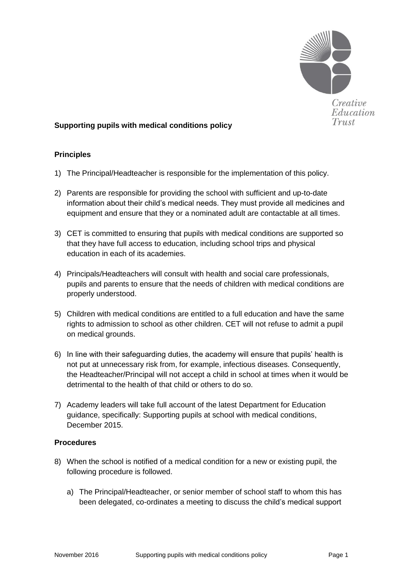

### **Supporting pupils with medical conditions policy**

### **Principles**

- 1) The Principal/Headteacher is responsible for the implementation of this policy.
- 2) Parents are responsible for providing the school with sufficient and up-to-date information about their child's medical needs. They must provide all medicines and equipment and ensure that they or a nominated adult are contactable at all times.
- 3) CET is committed to ensuring that pupils with medical conditions are supported so that they have full access to education, including school trips and physical education in each of its academies.
- 4) Principals/Headteachers will consult with health and social care professionals, pupils and parents to ensure that the needs of children with medical conditions are properly understood.
- 5) Children with medical conditions are entitled to a full education and have the same rights to admission to school as other children. CET will not refuse to admit a pupil on medical grounds.
- 6) In line with their safeguarding duties, the academy will ensure that pupils' health is not put at unnecessary risk from, for example, infectious diseases. Consequently, the Headteacher/Principal will not accept a child in school at times when it would be detrimental to the health of that child or others to do so.
- 7) Academy leaders will take full account of the latest Department for Education guidance, specifically: Supporting pupils at school with medical conditions, December 2015.

### **Procedures**

- 8) When the school is notified of a medical condition for a new or existing pupil, the following procedure is followed.
	- a) The Principal/Headteacher, or senior member of school staff to whom this has been delegated, co-ordinates a meeting to discuss the child's medical support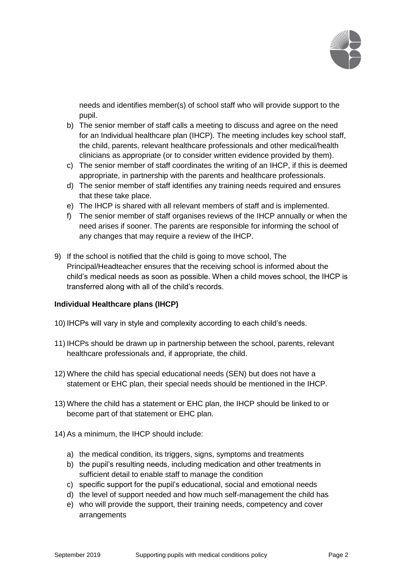

needs and identifies member(s) of school staff who will provide support to the pupil.

- b) The senior member of staff calls a meeting to discuss and agree on the need for an Individual healthcare plan (IHCP). The meeting includes key school staff, the child, parents, relevant healthcare professionals and other medical/health clinicians as appropriate (or to consider written evidence provided by them).
- c) The senior member of staff coordinates the writing of an IHCP, if this is deemed appropriate, in partnership with the parents and healthcare professionals.
- d) The senior member of staff identifies any training needs required and ensures that these take place.
- e) The IHCP is shared with all relevant members of staff and is implemented.
- f) The senior member of staff organises reviews of the IHCP annually or when the need arises if sooner. The parents are responsible for informing the school of any changes that may require a review of the IHCP.
- 9) If the school is notified that the child is going to move school, The Principal/Headteacher ensures that the receiving school is informed about the child's medical needs as soon as possible. When a child moves school, the IHCP is transferred along with all of the child's records.

### **Individual Healthcare plans (IHCP)**

- 10) IHCPs will vary in style and complexity according to each child's needs.
- 11) IHCPs should be drawn up in partnership between the school, parents, relevant healthcare professionals and, if appropriate, the child.
- 12) Where the child has special educational needs (SEN) but does not have a statement or EHC plan, their special needs should be mentioned in the IHCP.
- 13) Where the child has a statement or EHC plan, the IHCP should be linked to or become part of that statement or EHC plan.
- 14) As a minimum, the IHCP should include:
	- a) the medical condition, its triggers, signs, symptoms and treatments
	- b) the pupil's resulting needs, including medication and other treatments in sufficient detail to enable staff to manage the condition
	- c) specific support for the pupil's educational, social and emotional needs
	- d) the level of support needed and how much self-management the child has
	- e) who will provide the support, their training needs, competency and cover arrangements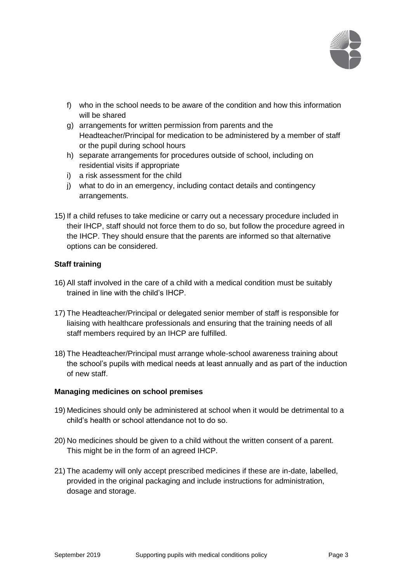

- f) who in the school needs to be aware of the condition and how this information will be shared
- g) arrangements for written permission from parents and the Headteacher/Principal for medication to be administered by a member of staff or the pupil during school hours
- h) separate arrangements for procedures outside of school, including on residential visits if appropriate
- i) a risk assessment for the child
- j) what to do in an emergency, including contact details and contingency arrangements.
- 15) If a child refuses to take medicine or carry out a necessary procedure included in their IHCP, staff should not force them to do so, but follow the procedure agreed in the IHCP. They should ensure that the parents are informed so that alternative options can be considered.

# **Staff training**

- 16) All staff involved in the care of a child with a medical condition must be suitably trained in line with the child's IHCP.
- 17) The Headteacher/Principal or delegated senior member of staff is responsible for liaising with healthcare professionals and ensuring that the training needs of all staff members required by an IHCP are fulfilled.
- 18) The Headteacher/Principal must arrange whole-school awareness training about the school's pupils with medical needs at least annually and as part of the induction of new staff.

### **Managing medicines on school premises**

- 19) Medicines should only be administered at school when it would be detrimental to a child's health or school attendance not to do so.
- 20) No medicines should be given to a child without the written consent of a parent. This might be in the form of an agreed IHCP.
- 21) The academy will only accept prescribed medicines if these are in-date, labelled, provided in the original packaging and include instructions for administration, dosage and storage.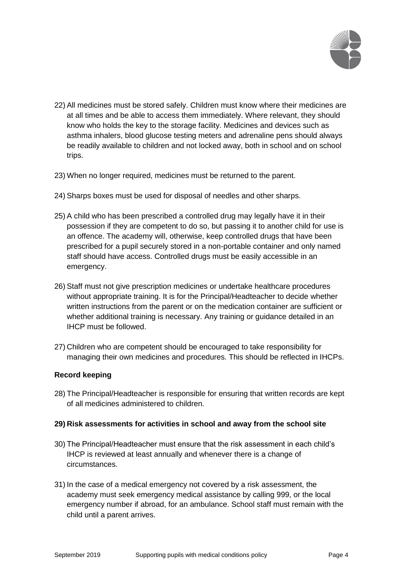

- 22) All medicines must be stored safely. Children must know where their medicines are at all times and be able to access them immediately. Where relevant, they should know who holds the key to the storage facility. Medicines and devices such as asthma inhalers, blood glucose testing meters and adrenaline pens should always be readily available to children and not locked away, both in school and on school trips.
- 23) When no longer required, medicines must be returned to the parent.
- 24) Sharps boxes must be used for disposal of needles and other sharps.
- 25) A child who has been prescribed a controlled drug may legally have it in their possession if they are competent to do so, but passing it to another child for use is an offence. The academy will, otherwise, keep controlled drugs that have been prescribed for a pupil securely stored in a non-portable container and only named staff should have access. Controlled drugs must be easily accessible in an emergency.
- 26) Staff must not give prescription medicines or undertake healthcare procedures without appropriate training. It is for the Principal/Headteacher to decide whether written instructions from the parent or on the medication container are sufficient or whether additional training is necessary. Any training or guidance detailed in an IHCP must be followed.
- 27) Children who are competent should be encouraged to take responsibility for managing their own medicines and procedures. This should be reflected in IHCPs.

### **Record keeping**

28) The Principal/Headteacher is responsible for ensuring that written records are kept of all medicines administered to children.

#### **29) Risk assessments for activities in school and away from the school site**

- 30) The Principal/Headteacher must ensure that the risk assessment in each child's IHCP is reviewed at least annually and whenever there is a change of circumstances.
- 31) In the case of a medical emergency not covered by a risk assessment, the academy must seek emergency medical assistance by calling 999, or the local emergency number if abroad, for an ambulance. School staff must remain with the child until a parent arrives.